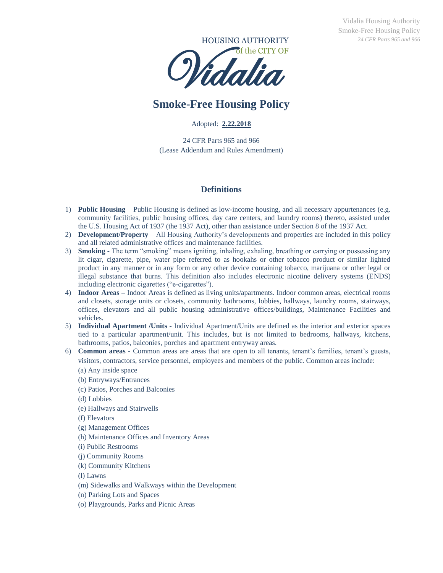

# **Smoke-Free Housing Policy**

Adopted: **2.22.2018**

24 CFR Parts 965 and 966 (Lease Addendum and Rules Amendment)  $\frac{2.4}{3}$ <br>s 96<br>d F

#### **Definitions**

- 1) **Public Housing** Public Housing is defined as low-income housing, and all necessary appurtenances (e.g. community facilities, public housing offices, day care centers, and laundry rooms) thereto, assisted under the U.S. Housing Act of 1937 (the 1937 Act), other than assistance under Section 8 of the 1937 Act.
- 2) **Development/Property** All Housing Authority's developments and properties are included in this policy and all related administrative offices and maintenance facilities.
- 3) **Smoking -** The term "smoking" means igniting, inhaling, exhaling, breathing or carrying or possessing any lit cigar, cigarette, pipe, water pipe referred to as hookahs or other tobacco product or similar lighted product in any manner or in any form or any other device containing tobacco, marijuana or other legal or illegal substance that burns. This definition also includes electronic nicotine delivery systems (ENDS) including electronic cigarettes ("e-cigarettes").
- 4) **Indoor Areas –** Indoor Areas is defined as living units/apartments. Indoor common areas, electrical rooms and closets, storage units or closets, community bathrooms, lobbies, hallways, laundry rooms, stairways, offices, elevators and all public housing administrative offices/buildings, Maintenance Facilities and vehicles.
- 5) **Individual Apartment /Units -** Individual Apartment/Units are defined as the interior and exterior spaces tied to a particular apartment/unit. This includes, but is not limited to bedrooms, hallways, kitchens, bathrooms, patios, balconies, porches and apartment entryway areas.
- 6) **Common areas -** Common areas are areas that are open to all tenants, tenant's families, tenant's guests, visitors, contractors, service personnel, employees and members of the public. Common areas include:
	- (a) Any inside space
	- (b) Entryways/Entrances
	- (c) Patios, Porches and Balconies
	- (d) Lobbies
	- (e) Hallways and Stairwells
	- (f) Elevators
	- (g) Management Offices
	- (h) Maintenance Offices and Inventory Areas
	- (i) Public Restrooms
	- (j) Community Rooms
	- (k) Community Kitchens
	- (l) Lawns
	- (m) Sidewalks and Walkways within the Development
	- (n) Parking Lots and Spaces
	- (o) Playgrounds, Parks and Picnic Areas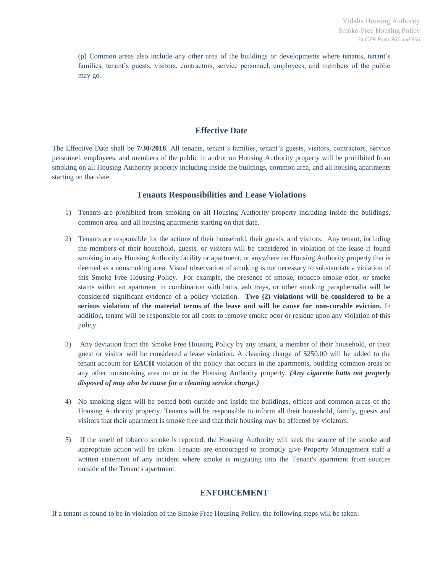(p) Common areas also include any other area of the buildings or developments where tenants, tenant's families, tenant's guests, visitors, contractors, service personnel, employees, and members of the public may go.

#### **Effective Date**

The Effective Date shall be **7/30/2018**. All tenants, tenant's families, tenant's guests, visitors, contractors, service personnel, employees, and members of the public in and/or on Housing Authority property will be prohibited from smoking on all Housing Authority property including inside the buildings, common area, and all housing apartments starting on that date.

#### **Tenants Responsibilities and Lease Violations**

- 1) Tenants are prohibited from smoking on all Housing Authority property including inside the buildings, common area, and all housing apartments starting on that date.
- 2) Tenants are responsible for the actions of their household, their guests, and visitors. Any tenant, including the members of their household, guests, or visitors will be considered in violation of the lease if found smoking in any Housing Authority facility or apartment, or anywhere on Housing Authority property that is deemed as a nonsmoking area. Visual observation of smoking is not necessary to substantiate a violation of this Smoke Free Housing Policy. For example, the presence of smoke, tobacco smoke odor, or smoke stains within an apartment in combination with butts, ash trays, or other smoking paraphernalia will be considered significant evidence of a policy violation. **Two (2) violations will be considered to be a serious violation of the material terms of the lease and will be cause for non-curable eviction.** In addition, tenant will be responsible for all costs to remove smoke odor or residue upon any violation of this policy.
- 3) Any deviation from the Smoke Free Housing Policy by any tenant, a member of their household, or their guest or visitor will be considered a lease violation. A cleaning charge of \$250.00 will be added to the tenant account for **EACH** violation of the policy that occurs in the apartments, building common areas or any other nonsmoking area on or in the Housing Authority property. *(Any cigarette butts not properly disposed of may also be cause for a cleaning service charge.)*
- 4) No smoking signs will be posted both outside and inside the buildings, offices and common areas of the Housing Authority property. Tenants will be responsible to inform all their household, family, guests and visitors that their apartment is smoke free and that their housing may be affected by violators.
- 5) If the smell of tobacco smoke is reported, the Housing Authority will seek the source of the smoke and appropriate action will be taken. Tenants are encouraged to promptly give Property Management staff a written statement of any incident where smoke is migrating into the Tenant's apartment from sources outside of the Tenant's apartment.

### **ENFORCEMENT**

If a tenant is found to be in violation of the Smoke Free Housing Policy, the following steps will be taken: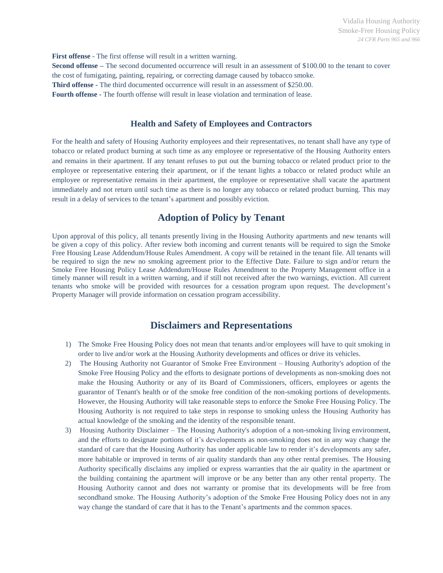**First offense** - The first offense will result in a written warning.

**Second offense** – The second documented occurrence will result in an assessment of \$100.00 to the tenant to cover the cost of fumigating, painting, repairing, or correcting damage caused by tobacco smoke. **Third offense -** The third documented occurrence will result in an assessment of \$250.00. **Fourth offense** - The fourth offense will result in lease violation and termination of lease.

#### **Health and Safety of Employees and Contractors**

For the health and safety of Housing Authority employees and their representatives, no tenant shall have any type of tobacco or related product burning at such time as any employee or representative of the Housing Authority enters and remains in their apartment. If any tenant refuses to put out the burning tobacco or related product prior to the employee or representative entering their apartment, or if the tenant lights a tobacco or related product while an employee or representative remains in their apartment, the employee or representative shall vacate the apartment immediately and not return until such time as there is no longer any tobacco or related product burning. This may result in a delay of services to the tenant's apartment and possibly eviction.

# **Adoption of Policy by Tenant**

Upon approval of this policy, all tenants presently living in the Housing Authority apartments and new tenants will be given a copy of this policy. After review both incoming and current tenants will be required to sign the Smoke Free Housing Lease Addendum/House Rules Amendment. A copy will be retained in the tenant file. All tenants will be required to sign the new no smoking agreement prior to the Effective Date. Failure to sign and/or return the Smoke Free Housing Policy Lease Addendum/House Rules Amendment to the Property Management office in a timely manner will result in a written warning, and if still not received after the two warnings, eviction. All current tenants who smoke will be provided with resources for a cessation program upon request. The development's Property Manager will provide information on cessation program accessibility.

## **Disclaimers and Representations**

- 1) The Smoke Free Housing Policy does not mean that tenants and/or employees will have to quit smoking in order to live and/or work at the Housing Authority developments and offices or drive its vehicles.
- 2) The Housing Authority not Guarantor of Smoke Free Environment Housing Authority's adoption of the Smoke Free Housing Policy and the efforts to designate portions of developments as non-smoking does not make the Housing Authority or any of its Board of Commissioners, officers, employees or agents the guarantor of Tenant's health or of the smoke free condition of the non-smoking portions of developments. However, the Housing Authority will take reasonable steps to enforce the Smoke Free Housing Policy. The Housing Authority is not required to take steps in response to smoking unless the Housing Authority has actual knowledge of the smoking and the identity of the responsible tenant.
- 3) Housing Authority Disclaimer The Housing Authority's adoption of a non-smoking living environment, and the efforts to designate portions of it's developments as non-smoking does not in any way change the standard of care that the Housing Authority has under applicable law to render it's developments any safer, more habitable or improved in terms of air quality standards than any other rental premises. The Housing Authority specifically disclaims any implied or express warranties that the air quality in the apartment or the building containing the apartment will improve or be any better than any other rental property. The Housing Authority cannot and does not warranty or promise that its developments will be free from secondhand smoke. The Housing Authority's adoption of the Smoke Free Housing Policy does not in any way change the standard of care that it has to the Tenant's apartments and the common spaces.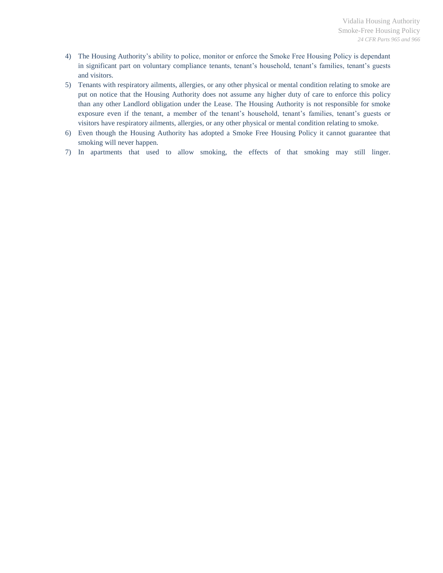- 4) The Housing Authority's ability to police, monitor or enforce the Smoke Free Housing Policy is dependant in significant part on voluntary compliance tenants, tenant's household, tenant's families, tenant's guests and visitors.
- 5) Tenants with respiratory ailments, allergies, or any other physical or mental condition relating to smoke are put on notice that the Housing Authority does not assume any higher duty of care to enforce this policy than any other Landlord obligation under the Lease. The Housing Authority is not responsible for smoke exposure even if the tenant, a member of the tenant's household, tenant's families, tenant's guests or visitors have respiratory ailments, allergies, or any other physical or mental condition relating to smoke.
- 6) Even though the Housing Authority has adopted a Smoke Free Housing Policy it cannot guarantee that smoking will never happen.
- 7) In apartments that used to allow smoking, the effects of that smoking may still linger.